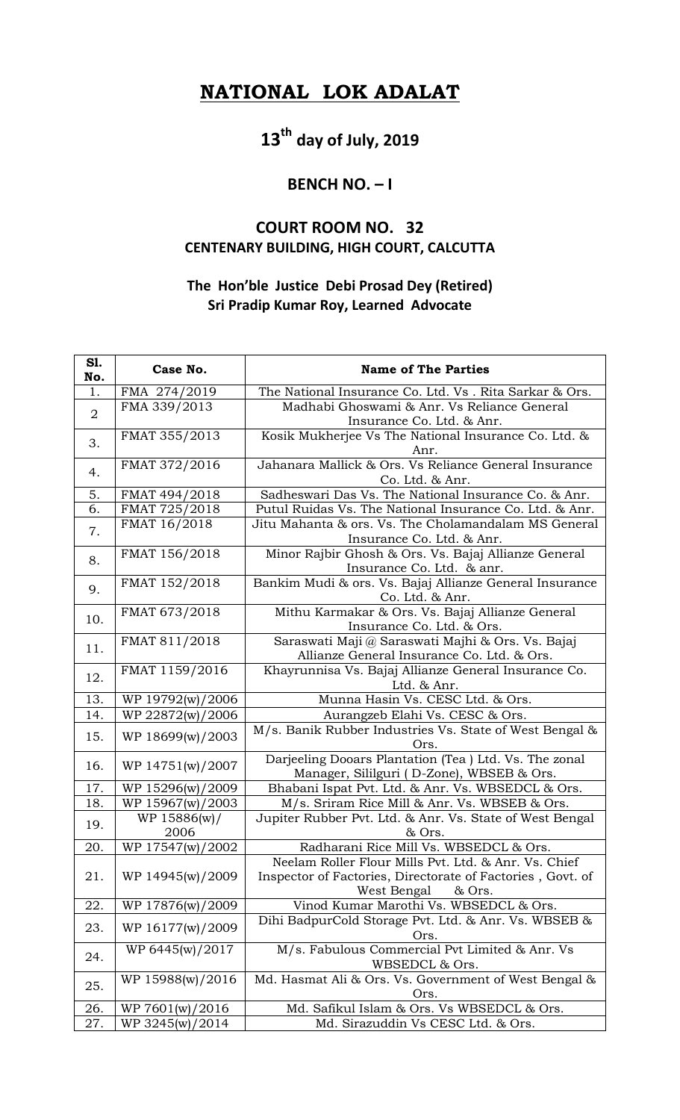## **NATIONAL LOK ADALAT**

# **13th day of July, 2019**

#### **BENCH NO. – I**

### **COURT ROOM NO. 32 CENTENARY BUILDING, HIGH COURT, CALCUTTA**

#### **The Hon'ble Justice Debi Prosad Dey (Retired) Sri Pradip Kumar Roy, Learned Advocate**

| S1.<br>No.     | Case No.         | <b>Name of The Parties</b>                                               |
|----------------|------------------|--------------------------------------------------------------------------|
| 1.             | FMA 274/2019     | The National Insurance Co. Ltd. Vs . Rita Sarkar & Ors.                  |
| $\overline{2}$ | FMA 339/2013     | Madhabi Ghoswami & Anr. Vs Reliance General                              |
|                |                  | Insurance Co. Ltd. & Anr.                                                |
| 3.             | FMAT 355/2013    | Kosik Mukherjee Vs The National Insurance Co. Ltd. &                     |
|                |                  | Anr.                                                                     |
| 4.             | FMAT 372/2016    | Jahanara Mallick & Ors. Vs Reliance General Insurance<br>Co. Ltd. & Anr. |
| 5.             | FMAT 494/2018    | Sadheswari Das Vs. The National Insurance Co. & Anr.                     |
| 6.             | FMAT 725/2018    | Putul Ruidas Vs. The National Insurance Co. Ltd. & Anr.                  |
|                | FMAT 16/2018     | Jitu Mahanta & ors. Vs. The Cholamandalam MS General                     |
| 7.             |                  | Insurance Co. Ltd. & Anr.                                                |
| 8.             | FMAT 156/2018    | Minor Rajbir Ghosh & Ors. Vs. Bajaj Allianze General                     |
|                |                  | Insurance Co. Ltd. & anr.                                                |
|                | FMAT 152/2018    | Bankim Mudi & ors. Vs. Bajaj Allianze General Insurance                  |
| 9.             |                  | Co. Ltd. & Anr.                                                          |
| 10.            | FMAT 673/2018    | Mithu Karmakar & Ors. Vs. Bajaj Allianze General                         |
|                |                  | Insurance Co. Ltd. & Ors.                                                |
| 11.            | FMAT 811/2018    | Saraswati Maji @ Saraswati Majhi & Ors. Vs. Bajaj                        |
|                |                  | Allianze General Insurance Co. Ltd. & Ors.                               |
| 12.            | FMAT 1159/2016   | Khayrunnisa Vs. Bajaj Allianze General Insurance Co.                     |
|                |                  | Ltd. & Anr.                                                              |
| 13.            | WP 19792(w)/2006 | Munna Hasin Vs. CESC Ltd. & Ors.                                         |
| 14.            | WP 22872(w)/2006 | Aurangzeb Elahi Vs. CESC & Ors.                                          |
| 15.            | WP 18699(w)/2003 | M/s. Banik Rubber Industries Vs. State of West Bengal &<br>Ors.          |
| 16.            | WP 14751(w)/2007 | Darjeeling Dooars Plantation (Tea) Ltd. Vs. The zonal                    |
|                |                  | Manager, Sililguri (D-Zone), WBSEB & Ors.                                |
| 17.            | WP 15296(w)/2009 | Bhabani Ispat Pvt. Ltd. & Anr. Vs. WBSEDCL & Ors.                        |
| 18.            | WP 15967(w)/2003 | M/s. Sriram Rice Mill & Anr. Vs. WBSEB & Ors.                            |
| 19.            | WP 15886(w)/     | Jupiter Rubber Pvt. Ltd. & Anr. Vs. State of West Bengal                 |
|                | 2006             | & Ors.                                                                   |
| 20.            | WP 17547(w)/2002 | Radharani Rice Mill Vs. WBSEDCL & Ors.                                   |
| 21.            |                  | Neelam Roller Flour Mills Pvt. Ltd. & Anr. Vs. Chief                     |
|                | WP 14945(w)/2009 | Inspector of Factories, Directorate of Factories, Govt. of<br>& Ors.     |
| 22.            | WP 17876(w)/2009 | West Bengal<br>Vinod Kumar Marothi Vs. WBSEDCL & Ors.                    |
|                |                  | Dihi BadpurCold Storage Pvt. Ltd. & Anr. Vs. WBSEB &                     |
| 23.            | WP 16177(w)/2009 | Ors.                                                                     |
| 24.            | WP 6445(w)/2017  | M/s. Fabulous Commercial Pvt Limited & Anr. Vs                           |
|                |                  | WBSEDCL & Ors.                                                           |
| 25.            | WP 15988(w)/2016 | Md. Hasmat Ali & Ors. Vs. Government of West Bengal &                    |
|                |                  | Ors.                                                                     |
| 26.            | WP 7601(w)/2016  | Md. Safikul Islam & Ors. Vs WBSEDCL & Ors.                               |
| 27.            | WP 3245(w)/2014  | Md. Sirazuddin Vs CESC Ltd. & Ors.                                       |